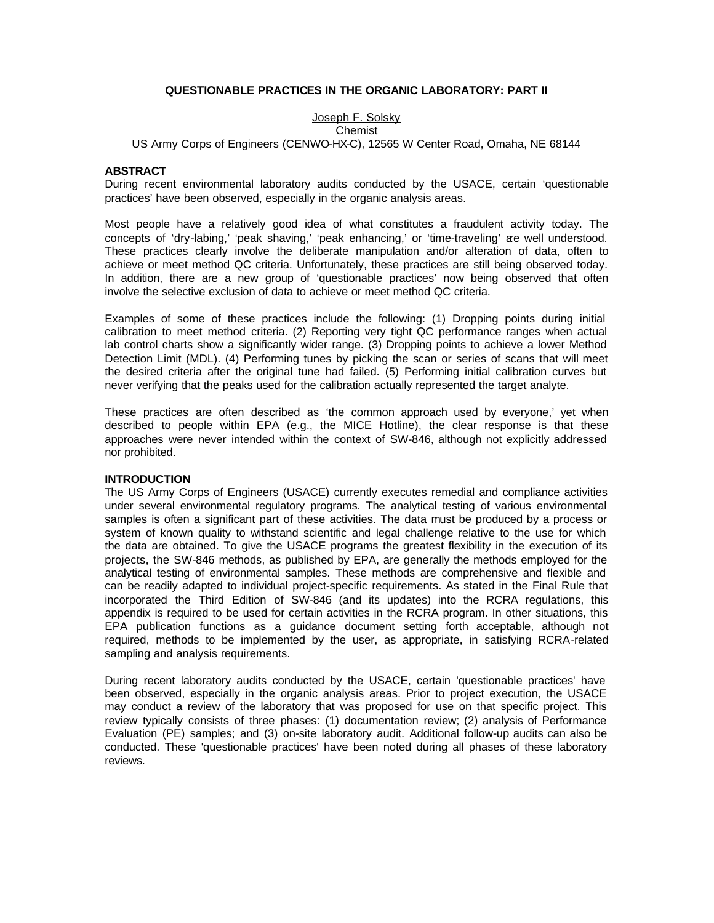## **QUESTIONABLE PRACTICES IN THE ORGANIC LABORATORY: PART II**

# Joseph F. Solsky

### Chemist

US Army Corps of Engineers (CENWO-HX-C), 12565 W Center Road, Omaha, NE 68144

#### **ABSTRACT**

During recent environmental laboratory audits conducted by the USACE, certain 'questionable practices' have been observed, especially in the organic analysis areas.

Most people have a relatively good idea of what constitutes a fraudulent activity today. The concepts of 'dry-labing,' 'peak shaving,' 'peak enhancing,' or 'time-traveling' are well understood. These practices clearly involve the deliberate manipulation and/or alteration of data, often to achieve or meet method QC criteria. Unfortunately, these practices are still being observed today. In addition, there are a new group of 'questionable practices' now being observed that often involve the selective exclusion of data to achieve or meet method QC criteria.

Examples of some of these practices include the following: (1) Dropping points during initial calibration to meet method criteria. (2) Reporting very tight QC performance ranges when actual lab control charts show a significantly wider range. (3) Dropping points to achieve a lower Method Detection Limit (MDL). (4) Performing tunes by picking the scan or series of scans that will meet the desired criteria after the original tune had failed. (5) Performing initial calibration curves but never verifying that the peaks used for the calibration actually represented the target analyte.

These practices are often described as 'the common approach used by everyone,' yet when described to people within EPA (e.g., the MICE Hotline), the clear response is that these approaches were never intended within the context of SW-846, although not explicitly addressed nor prohibited.

#### **INTRODUCTION**

The US Army Corps of Engineers (USACE) currently executes remedial and compliance activities under several environmental regulatory programs. The analytical testing of various environmental samples is often a significant part of these activities. The data must be produced by a process or system of known quality to withstand scientific and legal challenge relative to the use for which the data are obtained. To give the USACE programs the greatest flexibility in the execution of its projects, the SW-846 methods, as published by EPA, are generally the methods employed for the analytical testing of environmental samples. These methods are comprehensive and flexible and can be readily adapted to individual project-specific requirements. As stated in the Final Rule that incorporated the Third Edition of SW-846 (and its updates) into the RCRA regulations, this appendix is required to be used for certain activities in the RCRA program. In other situations, this EPA publication functions as a guidance document setting forth acceptable, although not required, methods to be implemented by the user, as appropriate, in satisfying RCRA-related sampling and analysis requirements.

During recent laboratory audits conducted by the USACE, certain 'questionable practices' have been observed, especially in the organic analysis areas. Prior to project execution, the USACE may conduct a review of the laboratory that was proposed for use on that specific project. This review typically consists of three phases: (1) documentation review; (2) analysis of Performance Evaluation (PE) samples; and (3) on-site laboratory audit. Additional follow-up audits can also be conducted. These 'questionable practices' have been noted during all phases of these laboratory reviews.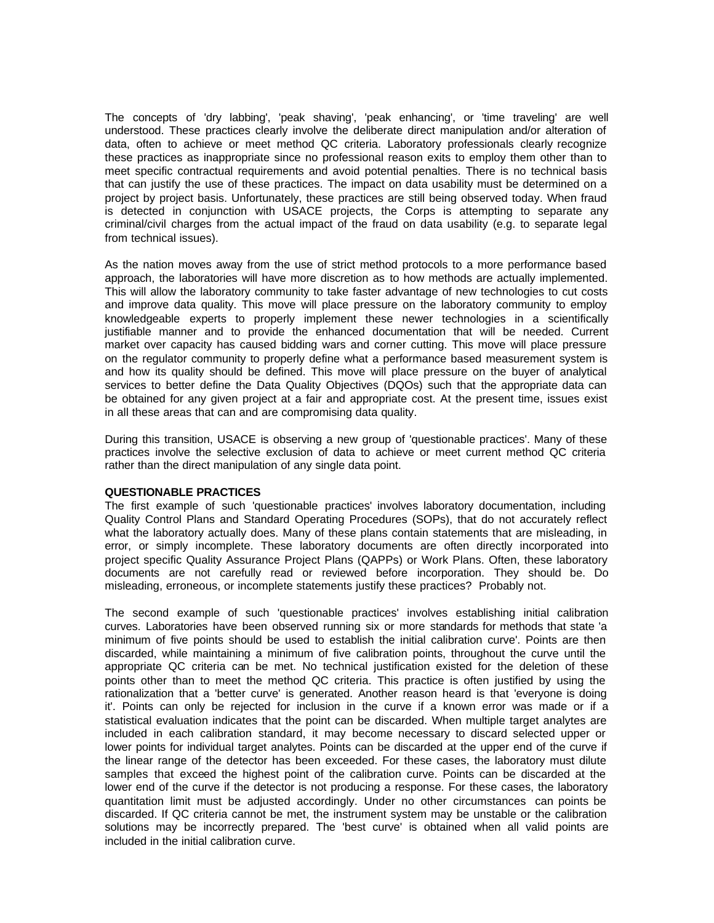The concepts of 'dry labbing', 'peak shaving', 'peak enhancing', or 'time traveling' are well understood. These practices clearly involve the deliberate direct manipulation and/or alteration of data, often to achieve or meet method QC criteria. Laboratory professionals clearly recognize these practices as inappropriate since no professional reason exits to employ them other than to meet specific contractual requirements and avoid potential penalties. There is no technical basis that can justify the use of these practices. The impact on data usability must be determined on a project by project basis. Unfortunately, these practices are still being observed today. When fraud is detected in conjunction with USACE projects, the Corps is attempting to separate any criminal/civil charges from the actual impact of the fraud on data usability (e.g. to separate legal from technical issues).

As the nation moves away from the use of strict method protocols to a more performance based approach, the laboratories will have more discretion as to how methods are actually implemented. This will allow the laboratory community to take faster advantage of new technologies to cut costs and improve data quality. This move will place pressure on the laboratory community to employ knowledgeable experts to properly implement these newer technologies in a scientifically justifiable manner and to provide the enhanced documentation that will be needed. Current market over capacity has caused bidding wars and corner cutting. This move will place pressure on the regulator community to properly define what a performance based measurement system is and how its quality should be defined. This move will place pressure on the buyer of analytical services to better define the Data Quality Objectives (DQOs) such that the appropriate data can be obtained for any given project at a fair and appropriate cost. At the present time, issues exist in all these areas that can and are compromising data quality.

During this transition, USACE is observing a new group of 'questionable practices'. Many of these practices involve the selective exclusion of data to achieve or meet current method QC criteria rather than the direct manipulation of any single data point.

#### **QUESTIONABLE PRACTICES**

The first example of such 'questionable practices' involves laboratory documentation, including Quality Control Plans and Standard Operating Procedures (SOPs), that do not accurately reflect what the laboratory actually does. Many of these plans contain statements that are misleading, in error, or simply incomplete. These laboratory documents are often directly incorporated into project specific Quality Assurance Project Plans (QAPPs) or Work Plans. Often, these laboratory documents are not carefully read or reviewed before incorporation. They should be. Do misleading, erroneous, or incomplete statements justify these practices? Probably not.

The second example of such 'questionable practices' involves establishing initial calibration curves. Laboratories have been observed running six or more standards for methods that state 'a minimum of five points should be used to establish the initial calibration curve'. Points are then discarded, while maintaining a minimum of five calibration points, throughout the curve until the appropriate QC criteria can be met. No technical justification existed for the deletion of these points other than to meet the method QC criteria. This practice is often justified by using the rationalization that a 'better curve' is generated. Another reason heard is that 'everyone is doing it'. Points can only be rejected for inclusion in the curve if a known error was made or if a statistical evaluation indicates that the point can be discarded. When multiple target analytes are included in each calibration standard, it may become necessary to discard selected upper or lower points for individual target analytes. Points can be discarded at the upper end of the curve if the linear range of the detector has been exceeded. For these cases, the laboratory must dilute samples that exceed the highest point of the calibration curve. Points can be discarded at the lower end of the curve if the detector is not producing a response. For these cases, the laboratory quantitation limit must be adjusted accordingly. Under no other circumstances can points be discarded. If QC criteria cannot be met, the instrument system may be unstable or the calibration solutions may be incorrectly prepared. The 'best curve' is obtained when all valid points are included in the initial calibration curve.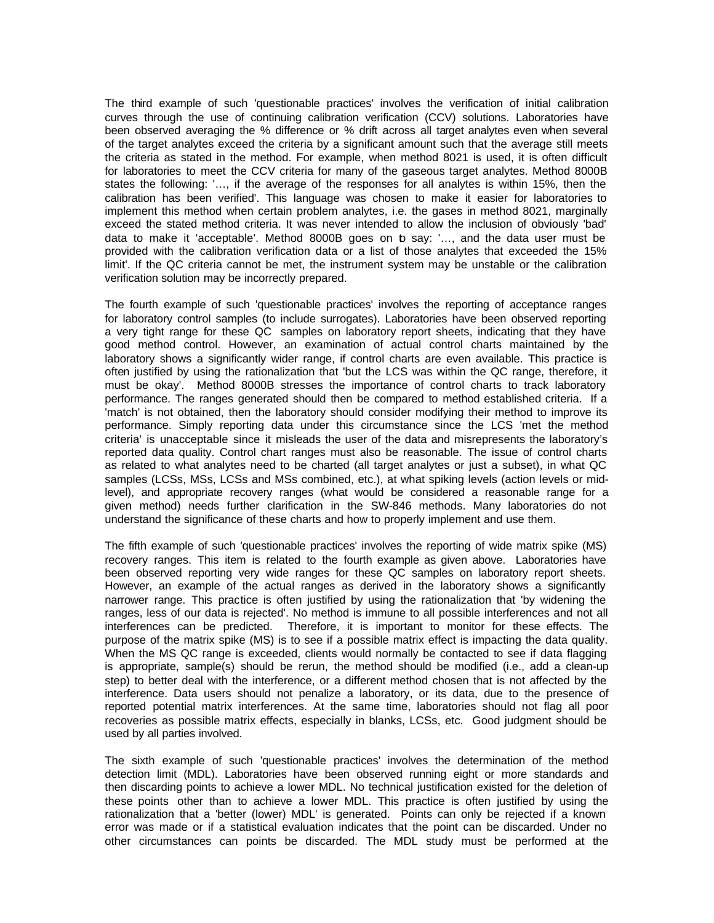The third example of such 'questionable practices' involves the verification of initial calibration curves through the use of continuing calibration verification (CCV) solutions. Laboratories have been observed averaging the % difference or % drift across all target analytes even when several of the target analytes exceed the criteria by a significant amount such that the average still meets the criteria as stated in the method. For example, when method 8021 is used, it is often difficult for laboratories to meet the CCV criteria for many of the gaseous target analytes. Method 8000B states the following: '…, if the average of the responses for all analytes is within 15%, then the calibration has been verified'. This language was chosen to make it easier for laboratories to implement this method when certain problem analytes, i.e. the gases in method 8021, marginally exceed the stated method criteria. It was never intended to allow the inclusion of obviously 'bad' data to make it 'acceptable'. Method 8000B goes on to say: '…, and the data user must be provided with the calibration verification data or a list of those analytes that exceeded the 15% limit'. If the QC criteria cannot be met, the instrument system may be unstable or the calibration verification solution may be incorrectly prepared.

The fourth example of such 'questionable practices' involves the reporting of acceptance ranges for laboratory control samples (to include surrogates). Laboratories have been observed reporting a very tight range for these QC samples on laboratory report sheets, indicating that they have good method control. However, an examination of actual control charts maintained by the laboratory shows a significantly wider range, if control charts are even available. This practice is often justified by using the rationalization that 'but the LCS was within the QC range, therefore, it must be okay'. Method 8000B stresses the importance of control charts to track laboratory performance. The ranges generated should then be compared to method established criteria. If a 'match' is not obtained, then the laboratory should consider modifying their method to improve its performance. Simply reporting data under this circumstance since the LCS 'met the method criteria' is unacceptable since it misleads the user of the data and misrepresents the laboratory's reported data quality. Control chart ranges must also be reasonable. The issue of control charts as related to what analytes need to be charted (all target analytes or just a subset), in what QC samples (LCSs, MSs, LCSs and MSs combined, etc.), at what spiking levels (action levels or midlevel), and appropriate recovery ranges (what would be considered a reasonable range for a given method) needs further clarification in the SW-846 methods. Many laboratories do not understand the significance of these charts and how to properly implement and use them.

The fifth example of such 'questionable practices' involves the reporting of wide matrix spike (MS) recovery ranges. This item is related to the fourth example as given above. Laboratories have been observed reporting very wide ranges for these QC samples on laboratory report sheets. However, an example of the actual ranges as derived in the laboratory shows a significantly narrower range. This practice is often justified by using the rationalization that 'by widening the ranges, less of our data is rejected'. No method is immune to all possible interferences and not all interferences can be predicted. Therefore, it is important to monitor for these effects. The purpose of the matrix spike (MS) is to see if a possible matrix effect is impacting the data quality. When the MS QC range is exceeded, clients would normally be contacted to see if data flagging is appropriate, sample(s) should be rerun, the method should be modified (i.e., add a clean-up step) to better deal with the interference, or a different method chosen that is not affected by the interference. Data users should not penalize a laboratory, or its data, due to the presence of reported potential matrix interferences. At the same time, laboratories should not flag all poor recoveries as possible matrix effects, especially in blanks, LCSs, etc. Good judgment should be used by all parties involved.

The sixth example of such 'questionable practices' involves the determination of the method detection limit (MDL). Laboratories have been observed running eight or more standards and then discarding points to achieve a lower MDL. No technical justification existed for the deletion of these points other than to achieve a lower MDL. This practice is often justified by using the rationalization that a 'better (lower) MDL' is generated. Points can only be rejected if a known error was made or if a statistical evaluation indicates that the point can be discarded. Under no other circumstances can points be discarded. The MDL study must be performed at the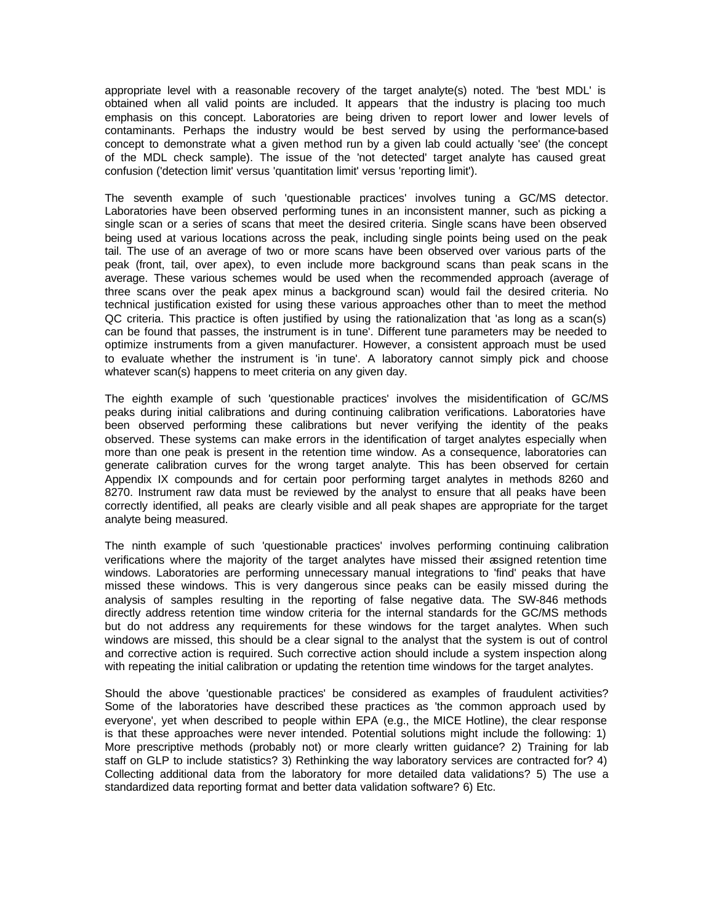appropriate level with a reasonable recovery of the target analyte(s) noted. The 'best MDL' is obtained when all valid points are included. It appears that the industry is placing too much emphasis on this concept. Laboratories are being driven to report lower and lower levels of contaminants. Perhaps the industry would be best served by using the performance-based concept to demonstrate what a given method run by a given lab could actually 'see' (the concept of the MDL check sample). The issue of the 'not detected' target analyte has caused great confusion ('detection limit' versus 'quantitation limit' versus 'reporting limit').

The seventh example of such 'questionable practices' involves tuning a GC/MS detector. Laboratories have been observed performing tunes in an inconsistent manner, such as picking a single scan or a series of scans that meet the desired criteria. Single scans have been observed being used at various locations across the peak, including single points being used on the peak tail. The use of an average of two or more scans have been observed over various parts of the peak (front, tail, over apex), to even include more background scans than peak scans in the average. These various schemes would be used when the recommended approach (average of three scans over the peak apex minus a background scan) would fail the desired criteria. No technical justification existed for using these various approaches other than to meet the method QC criteria. This practice is often justified by using the rationalization that 'as long as a scan(s) can be found that passes, the instrument is in tune'. Different tune parameters may be needed to optimize instruments from a given manufacturer. However, a consistent approach must be used to evaluate whether the instrument is 'in tune'. A laboratory cannot simply pick and choose whatever scan(s) happens to meet criteria on any given day.

The eighth example of such 'questionable practices' involves the misidentification of GC/MS peaks during initial calibrations and during continuing calibration verifications. Laboratories have been observed performing these calibrations but never verifying the identity of the peaks observed. These systems can make errors in the identification of target analytes especially when more than one peak is present in the retention time window. As a consequence, laboratories can generate calibration curves for the wrong target analyte. This has been observed for certain Appendix IX compounds and for certain poor performing target analytes in methods 8260 and 8270. Instrument raw data must be reviewed by the analyst to ensure that all peaks have been correctly identified, all peaks are clearly visible and all peak shapes are appropriate for the target analyte being measured.

The ninth example of such 'questionable practices' involves performing continuing calibration verifications where the majority of the target analytes have missed their assigned retention time windows. Laboratories are performing unnecessary manual integrations to 'find' peaks that have missed these windows. This is very dangerous since peaks can be easily missed during the analysis of samples resulting in the reporting of false negative data. The SW-846 methods directly address retention time window criteria for the internal standards for the GC/MS methods but do not address any requirements for these windows for the target analytes. When such windows are missed, this should be a clear signal to the analyst that the system is out of control and corrective action is required. Such corrective action should include a system inspection along with repeating the initial calibration or updating the retention time windows for the target analytes.

Should the above 'questionable practices' be considered as examples of fraudulent activities? Some of the laboratories have described these practices as 'the common approach used by everyone', yet when described to people within EPA (e.g., the MICE Hotline), the clear response is that these approaches were never intended. Potential solutions might include the following: 1) More prescriptive methods (probably not) or more clearly written guidance? 2) Training for lab staff on GLP to include statistics? 3) Rethinking the way laboratory services are contracted for? 4) Collecting additional data from the laboratory for more detailed data validations? 5) The use a standardized data reporting format and better data validation software? 6) Etc.